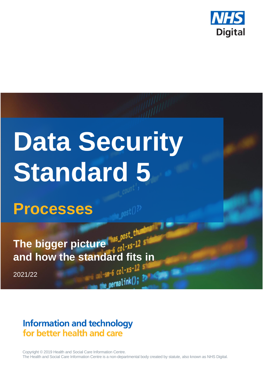

# **Data Security Standard 5**

**Processes**

**The bigger picture and how the standard fits in**

2021/22

# **Information and technology** for better health and care

Copyright © 2019 Health and Social Care Information Centre. The Health and Social Care Information Centre is a non-departmental body created by statute, also known as NHS Digital.

 $e$  permalink();  $\frac{32}{4}$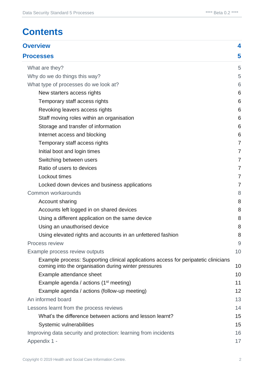# **Contents**

| <b>Overview</b>                                                                                                                             | 4              |
|---------------------------------------------------------------------------------------------------------------------------------------------|----------------|
| <b>Processes</b>                                                                                                                            | 5              |
| What are they?                                                                                                                              | 5              |
| Why do we do things this way?                                                                                                               | 5              |
| What type of processes do we look at?                                                                                                       | 6              |
| New starters access rights                                                                                                                  | 6              |
| Temporary staff access rights                                                                                                               | 6              |
| Revoking leavers access rights                                                                                                              | 6              |
| Staff moving roles within an organisation                                                                                                   | 6              |
| Storage and transfer of information                                                                                                         | 6              |
| Internet access and blocking                                                                                                                | 6              |
| Temporary staff access rights                                                                                                               | $\overline{7}$ |
| Initial boot and login times                                                                                                                | $\overline{7}$ |
| Switching between users                                                                                                                     | 7              |
| Ratio of users to devices                                                                                                                   | $\overline{7}$ |
| Lockout times                                                                                                                               | 7              |
| Locked down devices and business applications                                                                                               | $\overline{7}$ |
| Common workarounds                                                                                                                          | 8              |
| Account sharing                                                                                                                             | 8              |
| Accounts left logged in on shared devices                                                                                                   | 8              |
| Using a different application on the same device                                                                                            | 8              |
| Using an unauthorised device                                                                                                                | 8              |
| Using elevated rights and accounts in an unfettered fashion                                                                                 | 8              |
| Process review                                                                                                                              | $9$            |
| Example process review outputs                                                                                                              | 10             |
| Example process: Supporting clinical applications access for peripatetic clinicians<br>coming into the organisation during winter pressures | 10             |
| Example attendance sheet                                                                                                                    | 10             |
| Example agenda / actions $(1st meeting)$                                                                                                    | 11             |
| Example agenda / actions (follow-up meeting)                                                                                                | 12             |
| An informed board                                                                                                                           | 13             |
| Lessons learnt from the process reviews                                                                                                     | 14             |
| What's the difference between actions and lesson learnt?                                                                                    | 15             |
| Systemic vulnerabilities                                                                                                                    | 15             |
| Improving data security and protection: learning from incidents                                                                             | 16             |
| Appendix 1 -                                                                                                                                | 17             |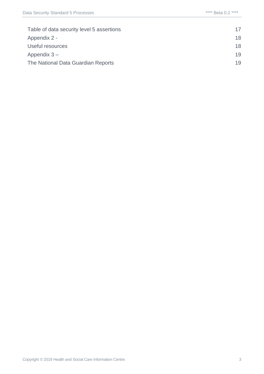| Table of data security level 5 assertions | 17 |
|-------------------------------------------|----|
| Appendix 2 -                              | 18 |
| Useful resources                          | 18 |
| Appendix $3-$                             | 19 |
| The National Data Guardian Reports        | 19 |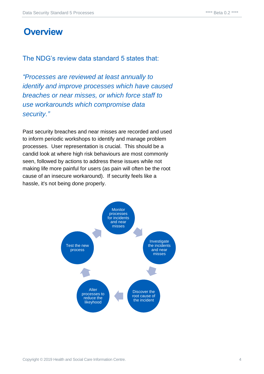## <span id="page-3-0"></span>**Overview**

The NDG's review data standard 5 states that:

*"Processes are reviewed at least annually to identify and improve processes which have caused breaches or near misses, or which force staff to use workarounds which compromise data security."*

Past security breaches and near misses are recorded and used to inform periodic workshops to identify and manage problem processes. User representation is crucial. This should be a candid look at where high risk behaviours are most commonly seen, followed by actions to address these issues while not making life more painful for users (as pain will often be the root cause of an insecure workaround). If security feels like a hassle, it's not being done properly.

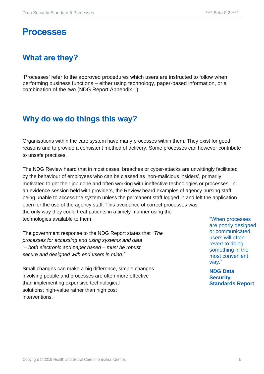## <span id="page-4-0"></span>**Processes**

## <span id="page-4-1"></span>**What are they?**

'Processes' refer to the approved procedures which users are instructed to follow when performing business functions – either using technology, paper-based information, or a combination of the two (NDG Report Appendix 1).

## <span id="page-4-2"></span>**Why do we do things this way?**

Organisations within the care system have many processes within them. They exist for good reasons and to provide a consistent method of delivery. Some processes can however contribute to unsafe practises.

The NDG Review heard that in most cases, breaches or cyber-attacks are unwittingly facilitated by the behaviour of employees who can be classed as 'non-malicious insiders', primarily motivated to get their job done and often working with ineffective technologies or processes. In an evidence session held with providers, the Review heard examples of agency nursing staff being unable to access the system unless the permanent staff logged in and left the application open for the use of the agency staff. This avoidance of correct processes was the only way they could treat patients in a timely manner using the technologies available to them.

The government response to the NDG Report states that *"The processes for accessing and using systems and data – both electronic and paper based – must be robust, secure and designed with end users in mind."*

Small changes can make a big difference, simple changes involving people and processes are often more effective than implementing expensive technological solutions; high-value rather than high cost interventions.

"When processes are poorly designed or communicated, users will often revert to doing something in the most convenient way."

**NDG Data Security Standards Report**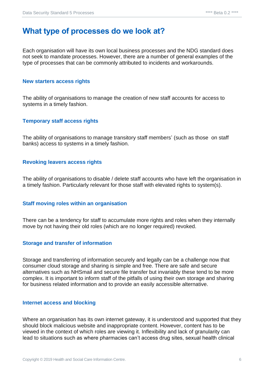## <span id="page-5-0"></span>**What type of processes do we look at?**

Each organisation will have its own local business processes and the NDG standard does not seek to mandate processes. However, there are a number of general examples of the type of processes that can be commonly attributed to incidents and workarounds.

#### <span id="page-5-1"></span>**New starters access rights**

The ability of organisations to manage the creation of new staff accounts for access to systems in a timely fashion.

#### <span id="page-5-2"></span>**Temporary staff access rights**

The ability of organisations to manage transitory staff members' (such as those on staff banks) access to systems in a timely fashion.

#### <span id="page-5-3"></span>**Revoking leavers access rights**

The ability of organisations to disable / delete staff accounts who have left the organisation in a timely fashion. Particularly relevant for those staff with elevated rights to system(s).

#### <span id="page-5-4"></span>**Staff moving roles within an organisation**

There can be a tendency for staff to accumulate more rights and roles when they internally move by not having their old roles (which are no longer required) revoked.

#### <span id="page-5-5"></span>**Storage and transfer of information**

Storage and transferring of information securely and legally can be a challenge now that consumer cloud storage and sharing is simple and free. There are safe and secure alternatives such as NHSmail and secure file transfer but invariably these tend to be more complex. It is important to inform staff of the pitfalls of using their own storage and sharing for business related information and to provide an easily accessible alternative.

#### <span id="page-5-6"></span>**Internet access and blocking**

Where an organisation has its own internet gateway, it is understood and supported that they should block malicious website and inappropriate content. However, content has to be viewed in the context of which roles are viewing it. Inflexibility and lack of granularity can lead to situations such as where pharmacies can't access drug sites, sexual health clinical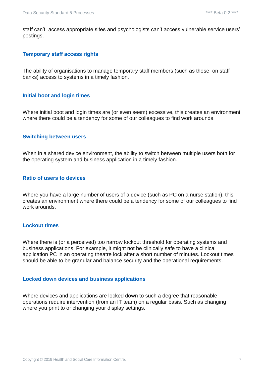staff can't access appropriate sites and psychologists can't access vulnerable service users' postings.

#### <span id="page-6-0"></span>**Temporary staff access rights**

The ability of organisations to manage temporary staff members (such as those on staff banks) access to systems in a timely fashion.

#### <span id="page-6-1"></span>**Initial boot and login times**

Where initial boot and login times are (or even seem) excessive, this creates an environment where there could be a tendency for some of our colleagues to find work arounds.

#### <span id="page-6-2"></span>**Switching between users**

When in a shared device environment, the ability to switch between multiple users both for the operating system and business application in a timely fashion.

#### <span id="page-6-3"></span>**Ratio of users to devices**

Where you have a large number of users of a device (such as PC on a nurse station), this creates an environment where there could be a tendency for some of our colleagues to find work arounds.

#### <span id="page-6-4"></span>**Lockout times**

Where there is (or a perceived) too narrow lockout threshold for operating systems and business applications. For example, it might not be clinically safe to have a clinical application PC in an operating theatre lock after a short number of minutes. Lockout times should be able to be granular and balance security and the operational requirements.

#### <span id="page-6-5"></span>**Locked down devices and business applications**

Where devices and applications are locked down to such a degree that reasonable operations require intervention (from an IT team) on a regular basis. Such as changing where you print to or changing your display settings.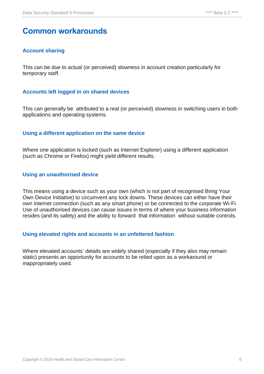## <span id="page-7-0"></span>**Common workarounds**

#### <span id="page-7-1"></span>**Account sharing**

This can be due to actual (or perceived) slowness in account creation particularly for temporary staff.

#### <span id="page-7-2"></span>**Accounts left logged in on shared devices**

This can generally be attributed to a real (or perceived) slowness in switching users in both applications and operating systems.

#### <span id="page-7-3"></span>**Using a different application on the same device**

Where one application is locked (such as Internet Explorer) using a different application (such as Chrome or Firefox) might yield different results.

#### <span id="page-7-4"></span>**Using an unauthorised device**

This means using a device such as your own (which is not part of recognised Bring Your Own Device Initiative) to circumvent any lock downs. These devices can either have their own internet connection (such as any smart phone) or be connected to the corporate Wi-Fi. Use of unauthorised devices can cause issues in terms of where your business information resides (and its safety) and the ability to forward that information without suitable controls.

#### <span id="page-7-5"></span>**Using elevated rights and accounts in an unfettered fashion**

Where elevated accounts' details are widely shared (especially if they also may remain static) presents an opportunity for accounts to be relied upon as a workaround or inappropriately used.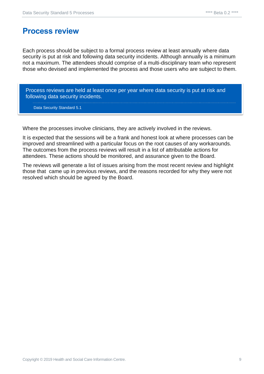## <span id="page-8-0"></span>**Process review**

Each process should be subject to a formal process review at least annually where data security is put at risk and following data security incidents. Although annually is a minimum not a maximum. The attendees should comprise of a multi-disciplinary team who represent those who devised and implemented the process and those users who are subject to them.

Process reviews are held at least once per year where data security is put at risk and following data security incidents.

Data Security Standard 5.1

Where the processes involve clinicians, they are actively involved in the reviews.

It is expected that the sessions will be a frank and honest look at where processes can be improved and streamlined with a particular focus on the root causes of any workarounds. The outcomes from the process reviews will result in a list of attributable actions for attendees. These actions should be monitored, and assurance given to the Board.

The reviews will generate a list of issues arising from the most recent review and highlight those that came up in previous reviews, and the reasons recorded for why they were not resolved which should be agreed by the Board.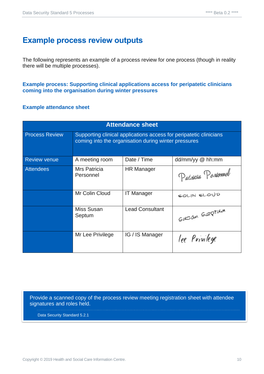## <span id="page-9-0"></span>**Example process review outputs**

The following represents an example of a process review for one process (though in reality there will be multiple processes).

<span id="page-9-1"></span>**Example process: Supporting clinical applications access for peripatetic clinicians coming into the organisation during winter pressures**

#### <span id="page-9-2"></span>**Example attendance sheet**

| <b>Attendance sheet</b> |                                                                                                                            |                        |                     |
|-------------------------|----------------------------------------------------------------------------------------------------------------------------|------------------------|---------------------|
| <b>Process Review</b>   | Supporting clinical applications access for peripatetic clinicians<br>coming into the organisation during winter pressures |                        |                     |
| <b>Review venue</b>     | A meeting room                                                                                                             | Date / Time            | $dd/mm/yy \& th:mm$ |
| <b>Attendees</b>        | Mrs Patricia<br>Personnel                                                                                                  | <b>HR Manager</b>      | Patricia Personnel  |
|                         | Mr Colin Cloud                                                                                                             | <b>IT Manager</b>      | COLIN CLOUD         |
|                         | Miss Susan<br>Septum                                                                                                       | <b>Lead Consultant</b> | Susan Septum        |
|                         | Mr Lee Privilege                                                                                                           | IG / IS Manager        | lee Privilege       |

Provide a scanned copy of the process review meeting registration sheet with attendee signatures and roles held.

Data Security Standard 5.2.1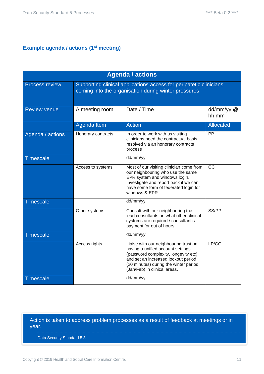## <span id="page-10-0"></span>**Example agenda / actions (1st meeting)**

| <b>Agenda / actions</b> |                                                                                                                            |                                                                                                                                                                                                                                    |                     |
|-------------------------|----------------------------------------------------------------------------------------------------------------------------|------------------------------------------------------------------------------------------------------------------------------------------------------------------------------------------------------------------------------------|---------------------|
| <b>Process review</b>   | Supporting clinical applications access for peripatetic clinicians<br>coming into the organisation during winter pressures |                                                                                                                                                                                                                                    |                     |
| <b>Review venue</b>     | Date / Time<br>A meeting room                                                                                              |                                                                                                                                                                                                                                    | dd/mm/yy @<br>hh:mm |
|                         | Agenda Item                                                                                                                | <b>Action</b>                                                                                                                                                                                                                      | <b>Allocated</b>    |
| Agenda / actions        | Honorary contracts                                                                                                         | In order to work with us visiting<br>clinicians need the contractual basis<br>resolved via an honorary contracts<br>process                                                                                                        | PP                  |
| <b>Timescale</b>        |                                                                                                                            | dd/mm/yy                                                                                                                                                                                                                           |                     |
|                         | Access to systems                                                                                                          | Most of our visiting clinician come from<br>our neighbouring who use the same<br>EPR system and windows login.<br>Investigate and report back if we can<br>have some form of federated login for<br>windows & EPR.                 | $\overline{cc}$     |
| <b>Timescale</b>        |                                                                                                                            | dd/mm/yy                                                                                                                                                                                                                           |                     |
|                         | Other systems                                                                                                              | Consult with our neighbouring trust<br>lead consultants on what other clinical<br>systems are required / consultant's<br>payment for out of hours.                                                                                 | SS/PP               |
| <b>Timescale</b>        |                                                                                                                            | dd/mm/yy                                                                                                                                                                                                                           |                     |
|                         | Access rights                                                                                                              | Liaise with our neighbouring trust on<br>having a unified account settings<br>(password complexity, longevity etc)<br>and set an increased lockout period<br>(20 minutes) during the winter period<br>(Jan/Feb) in clinical areas. | LP/CC               |
| <b>Timescale</b>        |                                                                                                                            | dd/mm/yy                                                                                                                                                                                                                           |                     |

#### Action is taken to address problem processes as a result of feedback at meetings or in year.

Data Security Standard 5.3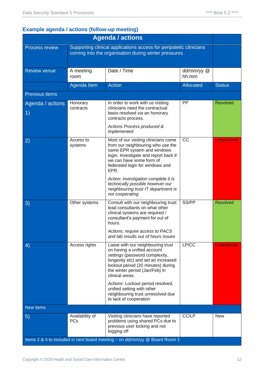## <span id="page-11-0"></span>**Example agenda / actions (follow-up meeting)**

| <b>Agenda / actions</b>                                                    |                                                                                                                            |                                                                                                                                                                                                                                       |                     |                   |
|----------------------------------------------------------------------------|----------------------------------------------------------------------------------------------------------------------------|---------------------------------------------------------------------------------------------------------------------------------------------------------------------------------------------------------------------------------------|---------------------|-------------------|
| Process review                                                             | Supporting clinical applications access for peripatetic clinicians<br>coming into the organisation during winter pressures |                                                                                                                                                                                                                                       |                     |                   |
| <b>Review venue</b>                                                        | A meeting<br>room                                                                                                          | Date / Time                                                                                                                                                                                                                           | dd/mm/yy @<br>hh:mm |                   |
|                                                                            | Agenda Item                                                                                                                | <b>Action</b>                                                                                                                                                                                                                         | <b>Allocated</b>    | <b>Status</b>     |
| Previous items                                                             |                                                                                                                            |                                                                                                                                                                                                                                       |                     |                   |
| Agenda / actions<br>$\left( \begin{matrix} 1 \end{matrix} \right)$         | Honorary<br>contracts                                                                                                      | In order to work with us visiting<br>clinicians need the contractual<br>basis resolved via an honorary<br>contracts process.<br>Actions Process produced &                                                                            | PP                  | <b>Resolved</b>   |
|                                                                            |                                                                                                                            | implemented                                                                                                                                                                                                                           |                     |                   |
| $\left( 2\right)$                                                          | Access to<br>systems                                                                                                       | Most of our visiting clinicians come<br>from our neighbouring who use the<br>same EPR system and windows<br>login. Investigate and report back if<br>we can have some form of<br>federated login for windows and<br>EPR.              | <b>CC</b>           | <b>Unresolved</b> |
|                                                                            |                                                                                                                            | Action: investigation complete it is<br>technically possible however our<br>neighbouring trust IT department is<br>not cooperating                                                                                                    |                     |                   |
| 3)                                                                         | Other systems                                                                                                              | Consult with our neighbouring trust<br>lead consultants on what other<br>clinical systems are required /<br>consultant's payment for out of<br>hours.                                                                                 | SS/PP               | <b>Resolved</b>   |
|                                                                            |                                                                                                                            | Actions: require access to PACS<br>and lab results out of hours issues                                                                                                                                                                |                     |                   |
| 4)                                                                         | Access rights                                                                                                              | Liaise with our neighbouring trust<br>on having a unified account<br>settings (password complexity,<br>longevity etc) and set an increased<br>lockout period (20 minutes) during<br>the winter period (Jan/Feb) in<br>clinical areas. | LP/CC               | <b>Unresolved</b> |
|                                                                            |                                                                                                                            | Actions: Lockout period resolved,<br>unified setting with other<br>neighbouring trust unresolved due<br>to lack of cooperation                                                                                                        |                     |                   |
| New items                                                                  |                                                                                                                            |                                                                                                                                                                                                                                       |                     |                   |
| $\left(5\right)$                                                           | Availability of<br><b>PCs</b>                                                                                              | Visiting clinicians have reported<br>problems using shared PCs due to<br>previous user locking and not<br>logging off                                                                                                                 | CC/LP               | <b>New</b>        |
| Items 2 & 4 to included in next board meeting - on dd/mm/yy @ Board Room 1 |                                                                                                                            |                                                                                                                                                                                                                                       |                     |                   |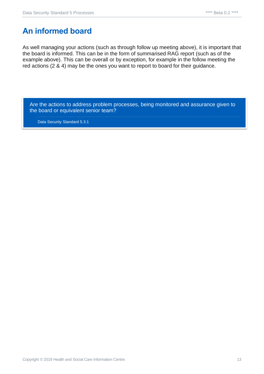## <span id="page-12-0"></span>**An informed board**

As well managing your actions (such as through follow up meeting above), it is important that the board is informed. This can be in the form of summarised RAG report (such as of the example above). This can be overall or by exception, for example in the follow meeting the red actions (2 & 4) may be the ones you want to report to board for their guidance.

Are the actions to address problem processes, being monitored and assurance given to the board or equivalent senior team?

Data Security Standard 5.3.1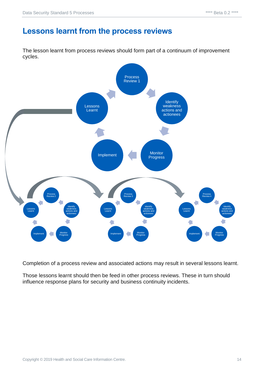## <span id="page-13-0"></span>**Lessons learnt from the process reviews**

The lesson learnt from process reviews should form part of a continuum of improvement cycles.



Completion of a process review and associated actions may result in several lessons learnt.

Those lessons learnt should then be feed in other process reviews. These in turn should influence response plans for security and business continuity incidents.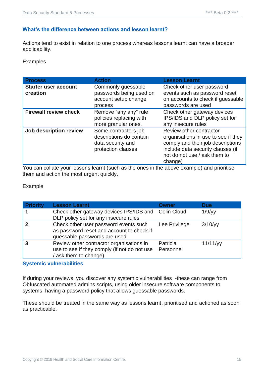#### <span id="page-14-0"></span>**What's the difference between actions and lesson learnt?**

Actions tend to exist in relation to one process whereas lessons learnt can have a broader applicability.

**Examples** 

| <b>Process</b>                          | <b>Action</b>                                                                              | <b>Lesson Learnt</b>                                                                                                                                                                |
|-----------------------------------------|--------------------------------------------------------------------------------------------|-------------------------------------------------------------------------------------------------------------------------------------------------------------------------------------|
| <b>Starter user account</b><br>creation | Commonly guessable<br>passwords being used on<br>account setup change<br>process           | Check other user password<br>events such as password reset<br>on accounts to check if guessable<br>passwords are used                                                               |
| <b>Firewall review check</b>            | Remove "any any" rule<br>policies replacing with<br>more granular ones.                    | Check other gateway devices<br>IPS/IDS and DLP policy set for<br>any insecure rules                                                                                                 |
| Job description review                  | Some contractors job<br>descriptions do contain<br>data security and<br>protection clauses | Review other contractor<br>organisations in use to see if they<br>comply and their job descriptions<br>include data security clauses (if<br>not do not use / ask them to<br>change) |

You can collate your lessons learnt (such as the ones in the above example) and prioritise them and action the most urgent quickly.

#### Example

| <b>Priority</b> | <b>Lesson Learnt</b>                                                                                               | Owner                 | <b>Due</b>  |
|-----------------|--------------------------------------------------------------------------------------------------------------------|-----------------------|-------------|
|                 | Check other gateway devices IPS/IDS and<br>DLP policy set for any insecure rules                                   | <b>Colin Cloud</b>    | 1/9/yy      |
| 2               | Check other user password events such<br>as password reset and account to check if<br>guessable passwords are used | Lee Privilege         | 3/10/yy     |
|                 | Review other contractor organisations in<br>use to see if they comply (if not do not use<br>(ask them to change)   | Patricia<br>Personnel | $11/11$ /yy |

#### <span id="page-14-1"></span>**Systemic vulnerabilities**

If during your reviews, you discover any systemic vulnerabilities -these can range from Obfuscated automated admins scripts, using older insecure software components to systems having a password policy that allows guessable passwords.

These should be treated in the same way as lessons learnt, prioritised and actioned as soon as practicable.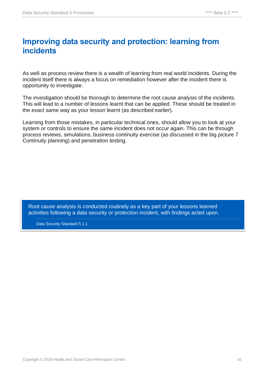## <span id="page-15-0"></span>**Improving data security and protection: learning from incidents**

As well as process review there is a wealth of learning from real world incidents. During the incident itself there is always a focus on remediation however after the incident there is opportunity to investigate.

The investigation should be thorough to determine the root cause analysis of the incidents. This will lead to a number of lessons learnt that can be applied. These should be treated in the exact same way as your lesson learnt (as described earlier).

Learning from those mistakes, in particular technical ones, should allow you to look at your system or controls to ensure the same incident does not occur again. This can be through process reviews, simulations, business continuity exercise (as discussed in the big picture 7 Continuity planning) and penetration testing.

Root cause analysis is conducted routinely as a key part of your lessons learned activities following a data security or protection incident, with findings acted upon.

Data Security Standard 5.1.1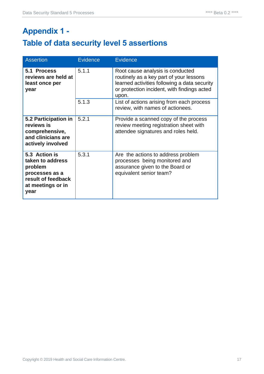# <span id="page-16-1"></span><span id="page-16-0"></span>**Appendix 1 - Table of data security level 5 assertions**

| <b>Assertion</b>                                                                                                  | <b>Evidence</b> | <b>Evidence</b>                                                                                                                                                                     |
|-------------------------------------------------------------------------------------------------------------------|-----------------|-------------------------------------------------------------------------------------------------------------------------------------------------------------------------------------|
| 5.1 Process<br>reviews are held at<br>least once per<br>year                                                      | 5.1.1           | Root cause analysis is conducted<br>routinely as a key part of your lessons<br>learned activities following a data security<br>or protection incident, with findings acted<br>upon. |
|                                                                                                                   | 5.1.3           | List of actions arising from each process<br>review, with names of actionees.                                                                                                       |
| 5.2 Participation in<br>reviews is<br>comprehensive,<br>and clinicians are<br>actively involved                   | 5.2.1           | Provide a scanned copy of the process<br>review meeting registration sheet with<br>attendee signatures and roles held.                                                              |
| 5.3 Action is<br>taken to address<br>problem<br>processes as a<br>result of feedback<br>at meetings or in<br>year | 5.3.1           | Are the actions to address problem<br>processes being monitored and<br>assurance given to the Board or<br>equivalent senior team?                                                   |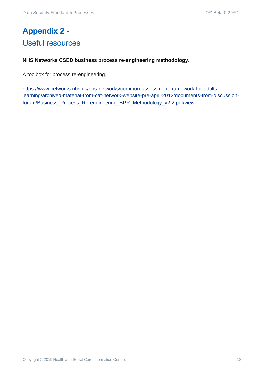# <span id="page-17-1"></span><span id="page-17-0"></span>**Appendix 2 -** Useful resources

#### **NHS Networks CSED business process re-engineering methodology.**

A toolbox for process re-engineering.

[https://www.networks.nhs.uk/nhs-networks/common-assessment-framework-for-adults](https://www.networks.nhs.uk/nhs-networks/common-assessment-framework-for-adults-learning/archived-material-from-caf-network-website-pre-april-2012/documents-from-discussion-forum/Business_Process_Re-engineering_BPR_Methodology_v2.2.pdf/view)[learning/archived-material-from-caf-network-website-pre-april-2012/documents-from-discussion](https://www.networks.nhs.uk/nhs-networks/common-assessment-framework-for-adults-learning/archived-material-from-caf-network-website-pre-april-2012/documents-from-discussion-forum/Business_Process_Re-engineering_BPR_Methodology_v2.2.pdf/view)[forum/Business\\_Process\\_Re-engineering\\_BPR\\_Methodology\\_v2.2.pdf/view](https://www.networks.nhs.uk/nhs-networks/common-assessment-framework-for-adults-learning/archived-material-from-caf-network-website-pre-april-2012/documents-from-discussion-forum/Business_Process_Re-engineering_BPR_Methodology_v2.2.pdf/view)